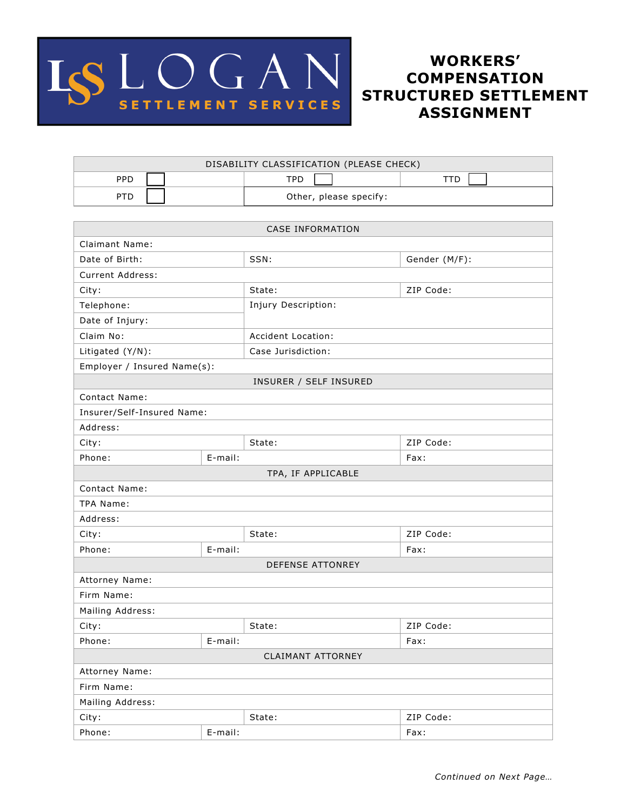

## **WORKERS' COMPENSATION STRUCTURED SETTLEMENT ASSIGNMENT**

| DISABILITY CLASSIFICATION (PLEASE CHECK) |                        |  |  |  |
|------------------------------------------|------------------------|--|--|--|
| PPD                                      | TPD                    |  |  |  |
| <b>PTD</b>                               | Other, please specify: |  |  |  |

| <b>CASE INFORMATION</b>     |         |                        |               |  |
|-----------------------------|---------|------------------------|---------------|--|
| Claimant Name:              |         |                        |               |  |
| Date of Birth:              |         | SSN:                   | Gender (M/F): |  |
| Current Address:            |         |                        |               |  |
| City:                       |         | State:                 | ZIP Code:     |  |
| Telephone:                  |         | Injury Description:    |               |  |
| Date of Injury:             |         |                        |               |  |
| Claim No:                   |         | Accident Location:     |               |  |
| Litigated (Y/N):            |         | Case Jurisdiction:     |               |  |
| Employer / Insured Name(s): |         |                        |               |  |
|                             |         | INSURER / SELF INSURED |               |  |
| <b>Contact Name:</b>        |         |                        |               |  |
| Insurer/Self-Insured Name:  |         |                        |               |  |
| Address:                    |         |                        |               |  |
| City:                       |         | State:                 | ZIP Code:     |  |
| Phone:                      | E-mail: |                        | Fax:          |  |
|                             |         | TPA, IF APPLICABLE     |               |  |
| <b>Contact Name:</b>        |         |                        |               |  |
| TPA Name:                   |         |                        |               |  |
| Address:                    |         |                        |               |  |
| City:                       |         | State:                 | ZIP Code:     |  |
| Phone:                      | E-mail: |                        | Fax:          |  |
| DEFENSE ATTONREY            |         |                        |               |  |
| Attorney Name:              |         |                        |               |  |
| Firm Name:                  |         |                        |               |  |
| Mailing Address:            |         |                        |               |  |
| City:                       |         | State:                 | ZIP Code:     |  |
| Phone:                      | E-mail: |                        | Fax:          |  |
| <b>CLAIMANT ATTORNEY</b>    |         |                        |               |  |
| Attorney Name:              |         |                        |               |  |
| Firm Name:                  |         |                        |               |  |
| Mailing Address:            |         |                        |               |  |
| City:                       |         | State:                 | ZIP Code:     |  |
| Phone:                      | E-mail: |                        | Fax:          |  |